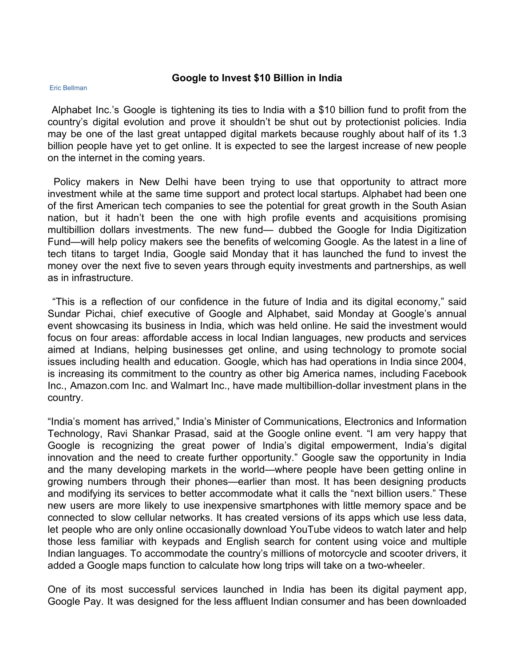## **Google to Invest \$10 Billion in India**

## Eric Bellman

Alphabet Inc.'s Google is tightening its ties to India with a \$10 billion fund to profit from the country's digital evolution and prove it shouldn't be shut out by protectionist policies. India may be one of the last great untapped digital markets because roughly about half of its 1.3 billion people have yet to get online. It is expected to see the largest increase of new people on the internet in the coming years.

Policy makers in New Delhi have been trying to use that opportunity to attract more investment while at the same time support and protect local startups. Alphabet had been one of the first American tech companies to see the potential for great growth in the South Asian nation, but it hadn't been the one with high profile events and acquisitions promising multibillion dollars investments. The new fund— dubbed the Google for India Digitization Fund—will help policy makers see the benefits of welcoming Google. As the latest in a line of tech titans to target India, Google said Monday that it has launched the fund to invest the money over the next five to seven years through equity investments and partnerships, as well as in infrastructure.

"This is a reflection of our confidence in the future of India and its digital economy," said Sundar Pichai, chief executive of Google and Alphabet, said Monday at Google's annual event showcasing its business in India, which was held online. He said the investment would focus on four areas: affordable access in local Indian languages, new products and services aimed at Indians, helping businesses get online, and using technology to promote social issues including health and education. Google, which has had operations in India since 2004, is increasing its commitment to the country as other big America names, including Facebook Inc., Amazon.com Inc. and Walmart Inc., have made multibillion-dollar investment plans in the country.

"India's moment has arrived," India's Minister of Communications, Electronics and Information Technology, Ravi Shankar Prasad, said at the Google online event. "I am very happy that Google is recognizing the great power of India's digital empowerment, India's digital innovation and the need to create further opportunity." Google saw the opportunity in India and the many developing markets in the world—where people have been getting online in growing numbers through their phones—earlier than most. It has been designing products and modifying its services to better accommodate what it calls the "next billion users." These new users are more likely to use inexpensive smartphones with little memory space and be connected to slow cellular networks. It has created versions of its apps which use less data, let people who are only online occasionally download YouTube videos to watch later and help those less familiar with keypads and English search for content using voice and multiple Indian languages. To accommodate the country's millions of motorcycle and scooter drivers, it added a Google maps function to calculate how long trips will take on a two-wheeler.

One of its most successful services launched in India has been its digital payment app, Google Pay. It was designed for the less affluent Indian consumer and has been downloaded